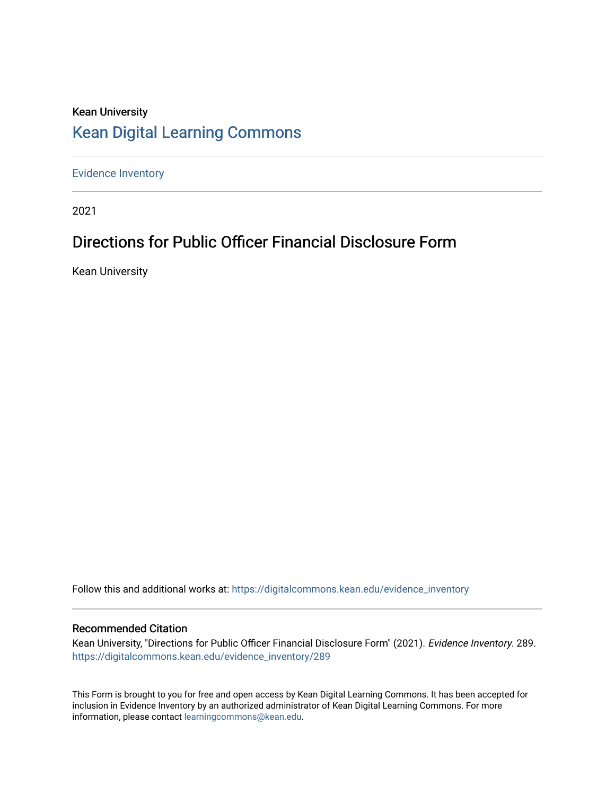# Kean University [Kean Digital Learning Commons](https://digitalcommons.kean.edu/)

[Evidence Inventory](https://digitalcommons.kean.edu/evidence_inventory) 

2021

# Directions for Public Officer Financial Disclosure Form

Kean University

Follow this and additional works at: [https://digitalcommons.kean.edu/evidence\\_inventory](https://digitalcommons.kean.edu/evidence_inventory?utm_source=digitalcommons.kean.edu%2Fevidence_inventory%2F289&utm_medium=PDF&utm_campaign=PDFCoverPages)

### Recommended Citation

Kean University, "Directions for Public Officer Financial Disclosure Form" (2021). Evidence Inventory. 289. [https://digitalcommons.kean.edu/evidence\\_inventory/289](https://digitalcommons.kean.edu/evidence_inventory/289?utm_source=digitalcommons.kean.edu%2Fevidence_inventory%2F289&utm_medium=PDF&utm_campaign=PDFCoverPages)

This Form is brought to you for free and open access by Kean Digital Learning Commons. It has been accepted for inclusion in Evidence Inventory by an authorized administrator of Kean Digital Learning Commons. For more information, please contact [learningcommons@kean.edu](mailto:learningcommons@kean.edu).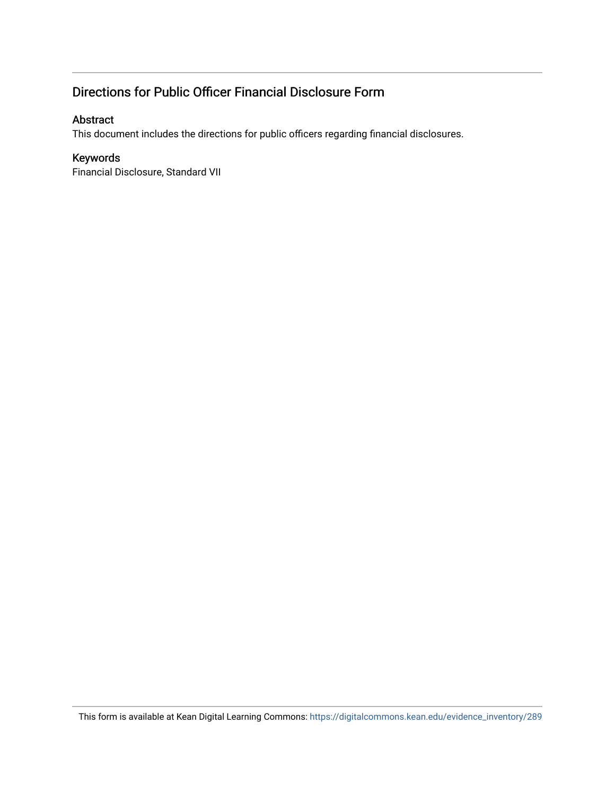# Directions for Public Officer Financial Disclosure Form

### Abstract

This document includes the directions for public officers regarding financial disclosures.

## Keywords

Financial Disclosure, Standard VII

This form is available at Kean Digital Learning Commons: [https://digitalcommons.kean.edu/evidence\\_inventory/289](https://digitalcommons.kean.edu/evidence_inventory/289)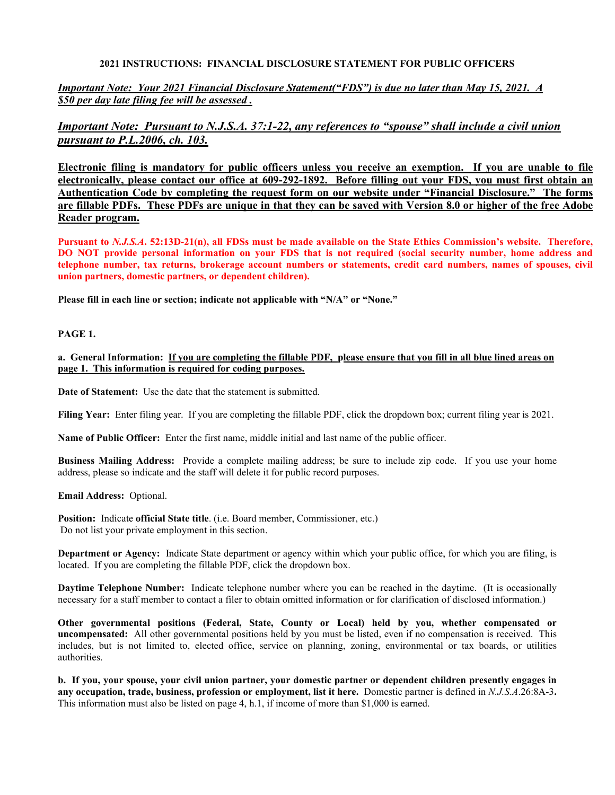### **2021 INSTRUCTIONS: FINANCIAL DISCLOSURE STATEMENT FOR PUBLIC OFFICERS**

*Important Note: Your 2021 Financial Disclosure Statement("FDS") is due no later than May 15, 2021. A \$50 per day late filing fee will be assessed .*

## *Important Note: Pursuant to N.J.S.A. 37:1-22, any references to "spouse" shall include a civil union pursuant to P.L.2006, ch. 103.*

**Electronic filing is mandatory for public officers unless you receive an exemption. If you are unable to file electronically, please contact our office at 609-292-1892. Before filling out your FDS, you must first obtain an Authentication Code by completing the request form on our website under "Financial Disclosure." The forms are fillable PDFs. These PDFs are unique in that they can be saved with Version 8.0 or higher of the free Adobe Reader program.** 

**Pursuant to** *N.J.S.A***. 52:13D-21(n), all FDSs must be made available on the State Ethics Commission's website. Therefore, DO NOT provide personal information on your FDS that is not required (social security number, home address and telephone number, tax returns, brokerage account numbers or statements, credit card numbers, names of spouses, civil union partners, domestic partners, or dependent children).** 

**Please fill in each line or section; indicate not applicable with "N/A" or "None."** 

#### **PAGE 1.**

**a. General Information: If you are completing the fillable PDF, please ensure that you fill in all blue lined areas on page 1. This information is required for coding purposes.**

**Date of Statement:** Use the date that the statement is submitted.

**Filing Year:** Enter filing year. If you are completing the fillable PDF, click the dropdown box; current filing year is 2021.

**Name of Public Officer:** Enter the first name, middle initial and last name of the public officer.

**Business Mailing Address:** Provide a complete mailing address; be sure to include zip code. If you use your home address, please so indicate and the staff will delete it for public record purposes.

**Email Address:** Optional.

**Position:** Indicate **official State title**. (i.e. Board member, Commissioner, etc.) Do not list your private employment in this section.

**Department or Agency:** Indicate State department or agency within which your public office, for which you are filing, is located. If you are completing the fillable PDF, click the dropdown box.

**Daytime Telephone Number:** Indicate telephone number where you can be reached in the daytime. (It is occasionally necessary for a staff member to contact a filer to obtain omitted information or for clarification of disclosed information.)

**Other governmental positions (Federal, State, County or Local) held by you, whether compensated or uncompensated:** All other governmental positions held by you must be listed, even if no compensation is received. This includes, but is not limited to, elected office, service on planning, zoning, environmental or tax boards, or utilities authorities.

**b. If you, your spouse, your civil union partner, your domestic partner or dependent children presently engages in any occupation, trade, business, profession or employment, list it here.** Domestic partner is defined in *N.J.S.A*.26:8A-3**.**  This information must also be listed on page 4, h.1, if income of more than \$1,000 is earned.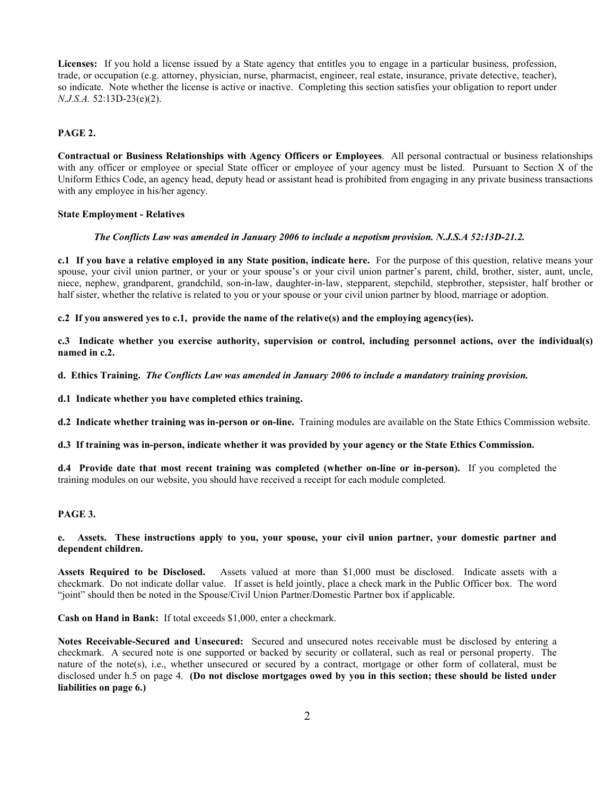Licenses: If you hold a license issued by a State agency that entitles you to engage in a particular business, profession, trade, or occupation (e.g. attorney, physician, nurse, pharmacist, engineer, real estate, insurance, private detective, teacher), so indicate. Note whether the license is active or inactive. Completing this section satisfies your obligation to report under *N.J.S.A.* 52:13D-23(e)(2).

#### **PAGE 2.**

**Contractual or Business Relationships with Agency Officers or Employees**. All personal contractual or business relationships with any officer or employee or special State officer or employee of your agency must be listed. Pursuant to Section X of the Uniform Ethics Code, an agency head, deputy head or assistant head is prohibited from engaging in any private business transactions with any employee in his/her agency.

#### **State Employment - Relatives**

#### *The Conflicts Law was amended in January 2006 to include a nepotism provision. N.J.S.A 52:13D-21.2.*

**c.1 If you have a relative employed in any State position, indicate here.** For the purpose of this question, relative means your spouse, your civil union partner, or your or your spouse's or your civil union partner's parent, child, brother, sister, aunt, uncle, niece, nephew, grandparent, grandchild, son-in-law, daughter-in-law, stepparent, stepchild, stepbrother, stepsister, half brother or half sister, whether the relative is related to you or your spouse or your civil union partner by blood, marriage or adoption.

**c.2 If you answered yes to c.1, provide the name of the relative(s) and the employing agency(ies).**

**c.3 Indicate whether you exercise authority, supervision or control, including personnel actions, over the individual(s) named in c.2.** 

**d. Ethics Training.** *The Conflicts Law was amended in January 2006 to include a mandatory training provision.*

**d.1 Indicate whether you have completed ethics training.**

**d.2 Indicate whether training was in-person or on-line.** Training modules are available on the State Ethics Commission website.

**d.3 If training was in-person, indicate whether it was provided by your agency or the State Ethics Commission.**

**d.4 Provide date that most recent training was completed (whether on-line or in-person).** If you completed the training modules on our website, you should have received a receipt for each module completed.

#### **PAGE 3.**

#### **e. Assets. These instructions apply to you, your spouse, your civil union partner, your domestic partner and dependent children.**

**Assets Required to be Disclosed.** Assets valued at more than \$1,000 must be disclosed. Indicate assets with a checkmark. Do not indicate dollar value. If asset is held jointly, place a check mark in the Public Officer box. The word "joint" should then be noted in the Spouse/Civil Union Partner/Domestic Partner box if applicable.

**Cash on Hand in Bank:** If total exceeds \$1,000, enter a checkmark.

**Notes Receivable-Secured and Unsecured:** Secured and unsecured notes receivable must be disclosed by entering a checkmark. A secured note is one supported or backed by security or collateral, such as real or personal property. The nature of the note(s), i.e., whether unsecured or secured by a contract, mortgage or other form of collateral, must be disclosed under h.5 on page 4. **(Do not disclose mortgages owed by you in this section; these should be listed under liabilities on page 6.)**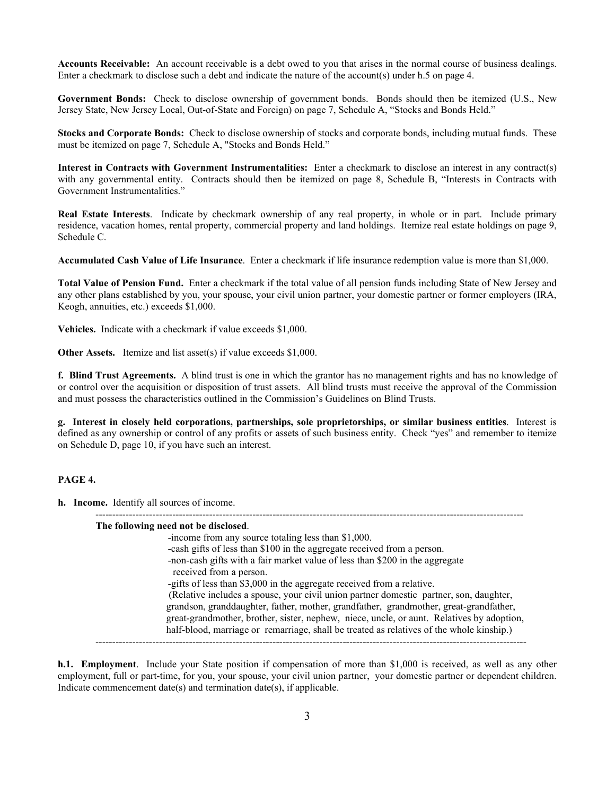**Accounts Receivable:** An account receivable is a debt owed to you that arises in the normal course of business dealings. Enter a checkmark to disclose such a debt and indicate the nature of the account(s) under h.5 on page 4.

**Government Bonds:** Check to disclose ownership of government bonds. Bonds should then be itemized (U.S., New Jersey State, New Jersey Local, Out-of-State and Foreign) on page 7, Schedule A, "Stocks and Bonds Held."

**Stocks and Corporate Bonds:** Check to disclose ownership of stocks and corporate bonds, including mutual funds. These must be itemized on page 7, Schedule A, "Stocks and Bonds Held."

**Interest in Contracts with Government Instrumentalities:** Enter a checkmark to disclose an interest in any contract(s) with any governmental entity. Contracts should then be itemized on page 8, Schedule B, "Interests in Contracts with Government Instrumentalities."

**Real Estate Interests**. Indicate by checkmark ownership of any real property, in whole or in part. Include primary residence, vacation homes, rental property, commercial property and land holdings. Itemize real estate holdings on page 9, Schedule C.

**Accumulated Cash Value of Life Insurance**. Enter a checkmark if life insurance redemption value is more than \$1,000.

**Total Value of Pension Fund.** Enter a checkmark if the total value of all pension funds including State of New Jersey and any other plans established by you, your spouse, your civil union partner, your domestic partner or former employers (IRA, Keogh, annuities, etc.) exceeds \$1,000.

**Vehicles.** Indicate with a checkmark if value exceeds \$1,000.

**Other Assets.** Itemize and list asset(s) if value exceeds \$1,000.

**f. Blind Trust Agreements.** A blind trust is one in which the grantor has no management rights and has no knowledge of or control over the acquisition or disposition of trust assets. All blind trusts must receive the approval of the Commission and must possess the characteristics outlined in the Commission's Guidelines on Blind Trusts.

**g. Interest in closely held corporations, partnerships, sole proprietorships, or similar business entities**. Interest is defined as any ownership or control of any profits or assets of such business entity. Check "yes" and remember to itemize on Schedule D, page 10, if you have such an interest.

#### **PAGE 4.**

**h. Income.** Identify all sources of income.

| The following need not be disclosed.<br>-income from any source totaling less than \$1,000. |
|---------------------------------------------------------------------------------------------|
|                                                                                             |
| -cash gifts of less than \$100 in the aggregate received from a person.                     |
| -non-cash gifts with a fair market value of less than \$200 in the aggregate                |
| received from a person.                                                                     |
| -gifts of less than \$3,000 in the aggregate received from a relative.                      |
| (Relative includes a spouse, your civil union partner domestic partner, son, daughter,      |
| grandson, granddaughter, father, mother, grandfather, grandmother, great-grandfather,       |
| great-grandmother, brother, sister, nephew, niece, uncle, or aunt. Relatives by adoption,   |
|                                                                                             |
| half-blood, marriage or remarriage, shall be treated as relatives of the whole kinship.)    |

**h.1. Employment**. Include your State position if compensation of more than \$1,000 is received, as well as any other employment, full or part-time, for you, your spouse, your civil union partner, your domestic partner or dependent children. Indicate commencement date(s) and termination date(s), if applicable.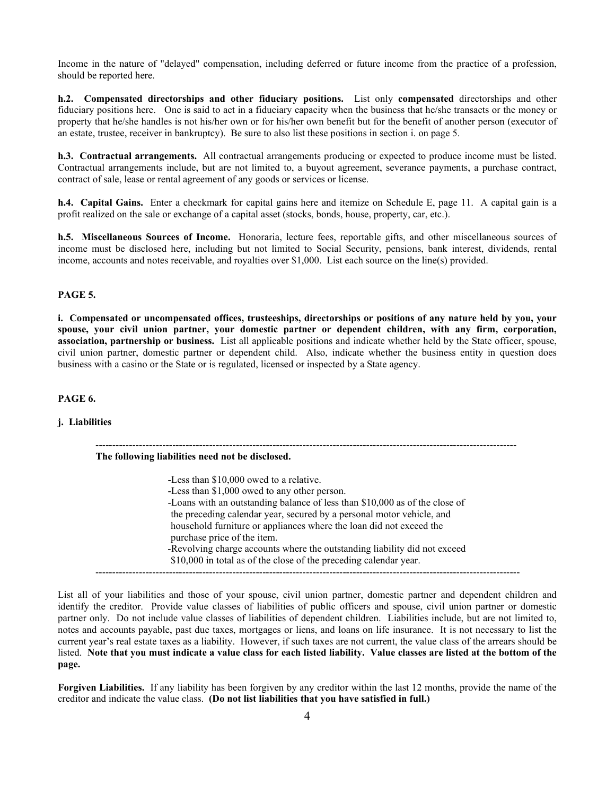Income in the nature of "delayed" compensation, including deferred or future income from the practice of a profession, should be reported here.

**h.2. Compensated directorships and other fiduciary positions.** List only **compensated** directorships and other fiduciary positions here. One is said to act in a fiduciary capacity when the business that he/she transacts or the money or property that he/she handles is not his/her own or for his/her own benefit but for the benefit of another person (executor of an estate, trustee, receiver in bankruptcy). Be sure to also list these positions in section i. on page 5.

**h.3. Contractual arrangements.** All contractual arrangements producing or expected to produce income must be listed. Contractual arrangements include, but are not limited to, a buyout agreement, severance payments, a purchase contract, contract of sale, lease or rental agreement of any goods or services or license.

**h.4. Capital Gains.** Enter a checkmark for capital gains here and itemize on Schedule E, page 11. A capital gain is a profit realized on the sale or exchange of a capital asset (stocks, bonds, house, property, car, etc.).

**h.5. Miscellaneous Sources of Income.** Honoraria, lecture fees, reportable gifts, and other miscellaneous sources of income must be disclosed here, including but not limited to Social Security, pensions, bank interest, dividends, rental income, accounts and notes receivable, and royalties over \$1,000. List each source on the line(s) provided.

#### **PAGE 5.**

**i. Compensated or uncompensated offices, trusteeships, directorships or positions of any nature held by you, your spouse, your civil union partner, your domestic partner or dependent children, with any firm, corporation, association, partnership or business.** List all applicable positions and indicate whether held by the State officer, spouse, civil union partner, domestic partner or dependent child. Also, indicate whether the business entity in question does business with a casino or the State or is regulated, licensed or inspected by a State agency.

**PAGE 6.** 

**j. Liabilities**

 **The following liabilities need not be disclosed.**

 -Less than \$10,000 owed to a relative. -Less than \$1,000 owed to any other person. -Loans with an outstanding balance of less than \$10,000 as of the close of the preceding calendar year, secured by a personal motor vehicle, and household furniture or appliances where the loan did not exceed the purchase price of the item. -Revolving charge accounts where the outstanding liability did not exceed \$10,000 in total as of the close of the preceding calendar year. -------------------------------------------------------------------------------------------------------------------------------

------------------------------------------------------------------------------------------------------------------------------

List all of your liabilities and those of your spouse, civil union partner, domestic partner and dependent children and identify the creditor. Provide value classes of liabilities of public officers and spouse, civil union partner or domestic partner only. Do not include value classes of liabilities of dependent children. Liabilities include, but are not limited to, notes and accounts payable, past due taxes, mortgages or liens, and loans on life insurance. It is not necessary to list the current year's real estate taxes as a liability. However, if such taxes are not current, the value class of the arrears should be listed. **Note that you must indicate a value class for each listed liability. Value classes are listed at the bottom of the page.** 

**Forgiven Liabilities.** If any liability has been forgiven by any creditor within the last 12 months, provide the name of the creditor and indicate the value class. **(Do not list liabilities that you have satisfied in full.)**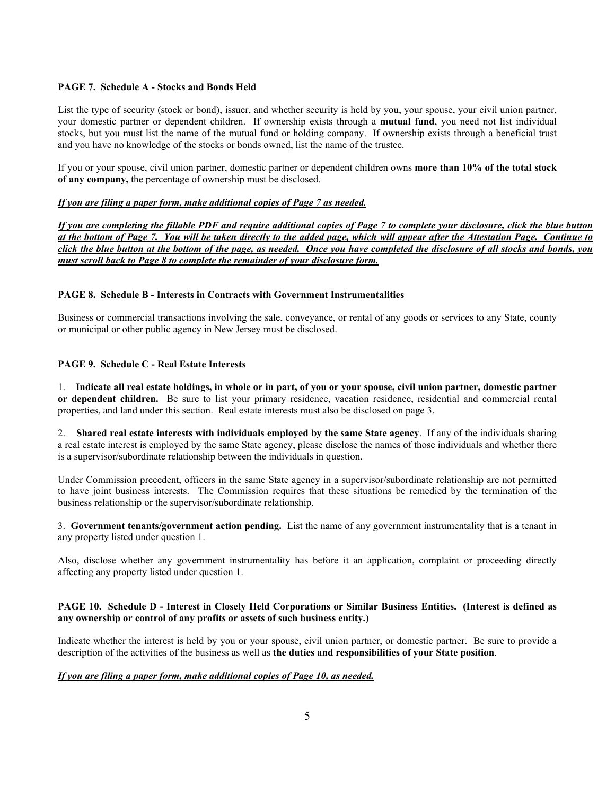#### **PAGE 7. Schedule A - Stocks and Bonds Held**

List the type of security (stock or bond), issuer, and whether security is held by you, your spouse, your civil union partner, your domestic partner or dependent children. If ownership exists through a **mutual fund**, you need not list individual stocks, but you must list the name of the mutual fund or holding company. If ownership exists through a beneficial trust and you have no knowledge of the stocks or bonds owned, list the name of the trustee.

If you or your spouse, civil union partner, domestic partner or dependent children owns **more than 10% of the total stock of any company,** the percentage of ownership must be disclosed.

#### *If you are filing a paper form, make additional copies of Page 7 as needed.*

*If you are completing the fillable PDF and require additional copies of Page 7 to complete your disclosure, click the blue button at the bottom of Page 7. You will be taken directly to the added page, which will appear after the Attestation Page. Continue to click the blue button at the bottom of the page, as needed. Once you have completed the disclosure of all stocks and bonds, you must scroll back to Page 8 to complete the remainder of your disclosure form.* 

#### **PAGE 8. Schedule B - Interests in Contracts with Government Instrumentalities**

Business or commercial transactions involving the sale, conveyance, or rental of any goods or services to any State, county or municipal or other public agency in New Jersey must be disclosed.

#### **PAGE 9. Schedule C - Real Estate Interests**

1. **Indicate all real estate holdings, in whole or in part, of you or your spouse, civil union partner, domestic partner or dependent children.** Be sure to list your primary residence, vacation residence, residential and commercial rental properties, and land under this section. Real estate interests must also be disclosed on page 3.

2. **Shared real estate interests with individuals employed by the same State agency**. If any of the individuals sharing a real estate interest is employed by the same State agency, please disclose the names of those individuals and whether there is a supervisor/subordinate relationship between the individuals in question.

Under Commission precedent, officers in the same State agency in a supervisor/subordinate relationship are not permitted to have joint business interests. The Commission requires that these situations be remedied by the termination of the business relationship or the supervisor/subordinate relationship.

3. **Government tenants/government action pending.** List the name of any government instrumentality that is a tenant in any property listed under question 1.

Also, disclose whether any government instrumentality has before it an application, complaint or proceeding directly affecting any property listed under question 1.

#### **PAGE 10. Schedule D - Interest in Closely Held Corporations or Similar Business Entities. (Interest is defined as any ownership or control of any profits or assets of such business entity.)**

Indicate whether the interest is held by you or your spouse, civil union partner, or domestic partner. Be sure to provide a description of the activities of the business as well as **the duties and responsibilities of your State position**.

#### *If you are filing a paper form, make additional copies of Page 10, as needed.*